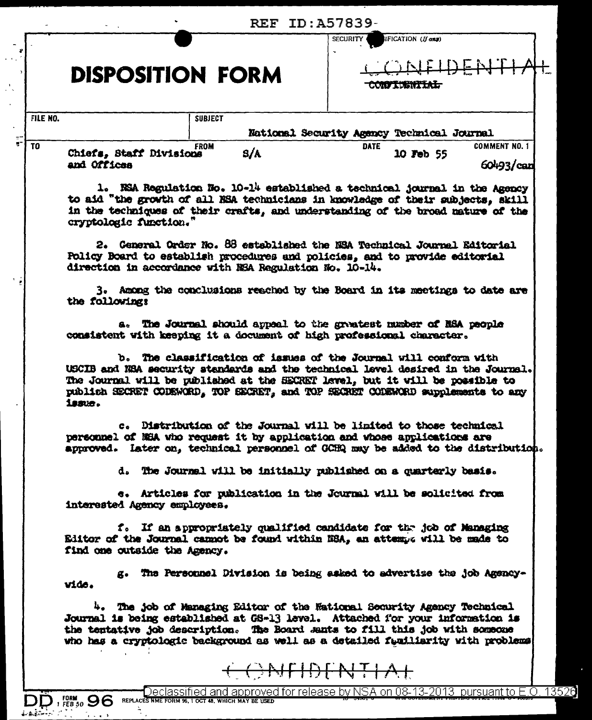|                                                        | <b>REF ID: A57839-</b> |                                                                                                                                                                                                                                                                                                                              |                                       |  |
|--------------------------------------------------------|------------------------|------------------------------------------------------------------------------------------------------------------------------------------------------------------------------------------------------------------------------------------------------------------------------------------------------------------------------|---------------------------------------|--|
|                                                        |                        |                                                                                                                                                                                                                                                                                                                              | IFICATION (If any)<br><b>SECURITY</b> |  |
| <b>DISPOSITION FORM</b>                                |                        | <u>CNTIDENTIAL</u><br><del>CONVIUSNITAL</del>                                                                                                                                                                                                                                                                                |                                       |  |
| FILE NO.                                               | <b>SUBJECT</b>         | National Security Agency Technical Journal                                                                                                                                                                                                                                                                                   |                                       |  |
| T <sub>0</sub>                                         | <b>FROM</b>            | <b>DATE</b>                                                                                                                                                                                                                                                                                                                  | <b>COMMENT NO. 1</b>                  |  |
| Chiefs, Staff Divisions<br>and Offices                 | S/A                    | 10 Feb 55                                                                                                                                                                                                                                                                                                                    | 60493/can                             |  |
| cryptologic function."                                 |                        | 1. NSA Regulation No. 10-14 established a technical journal in the Agency<br>to aid "the growth of all NSA technicians in knowledge of their subjects, skill<br>in the techniques of their crafts, and understanding of the broad nature of the                                                                              |                                       |  |
| direction in accordance with NSA Regulation No. 10-14. |                        | 2. General Order No. 88 established the NSA Technical Journal Editorial<br>Policy Board to establish procedures and policies, and to provide editorial                                                                                                                                                                       |                                       |  |
| the following:                                         |                        | 3. Among the conclusions reached by the Board in its meetings to date are                                                                                                                                                                                                                                                    |                                       |  |
|                                                        |                        | a. The Journal should appeal to the greatest number of NSA people<br>consistent with keeping it a document of high professional character.                                                                                                                                                                                   |                                       |  |
| issue.                                                 |                        | b. The classification of issues of the Journal will conform with<br>USCIB and NSA security standards and the technical level desired in the Journal.<br>The Journal will be published at the SECRET level, but it will be possible to<br>publish SECRET CODEWORD, TOP SECRET, and TOP SECRET CODEWORD supplements to any     |                                       |  |
|                                                        |                        | c. Distribution of the Journal will be limited to those technical<br>personnel of NEA who request it by application and whose applications are<br>approved. Later on, technical personnel of GCHQ may be added to the distribution.                                                                                          |                                       |  |
|                                                        |                        | d. The Journal will be initially published on a quarterly basis.                                                                                                                                                                                                                                                             |                                       |  |
| interested Agency employees.                           |                        | e. Articles for publication in the Journal will be solicited from                                                                                                                                                                                                                                                            |                                       |  |
| find one outside the Agency.                           |                        | f. If an appropriately qualified candidate for the job of Managing<br>Editor of the Journal cannot be found within NSA, an attempt will be made to                                                                                                                                                                           |                                       |  |
| vide.                                                  |                        | g. The Personnel Division is being asked to advertize the job Agency-                                                                                                                                                                                                                                                        |                                       |  |
|                                                        |                        | 4. The job of Managing Editor of the Wational Socurity Agency Technical<br>Journal is being established at GS-13 level. Attached for your information is<br>the tentative job description. The Board Jants to fill this job with someone<br>who has a cryptologic background as well as a detailed funiliarity with problems |                                       |  |
|                                                        |                        | <del>CONFIDENTIAL</del>                                                                                                                                                                                                                                                                                                      |                                       |  |

DD<sub>1</sub>FORM 96

 $\frac{\Delta_{\rm{max}}}{\Delta_{\rm{max}}}$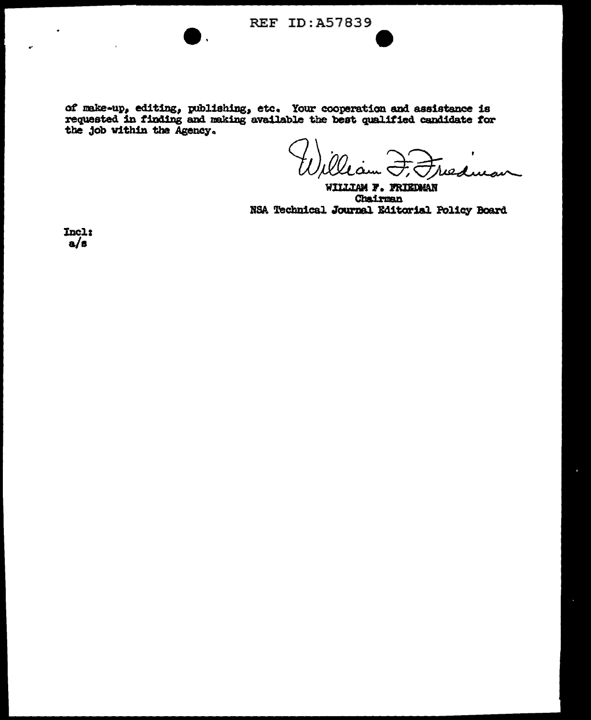of make-up, editing, publishing, etc. Your cooperation and assistance is requested in finding and making available the best qualified candidate for the job within the Agency.

 $19$ 

WILLIAM F. FRIEDMAN Chairman NSA Technical Journal Editorial Policy Board

Incl:  $a/s$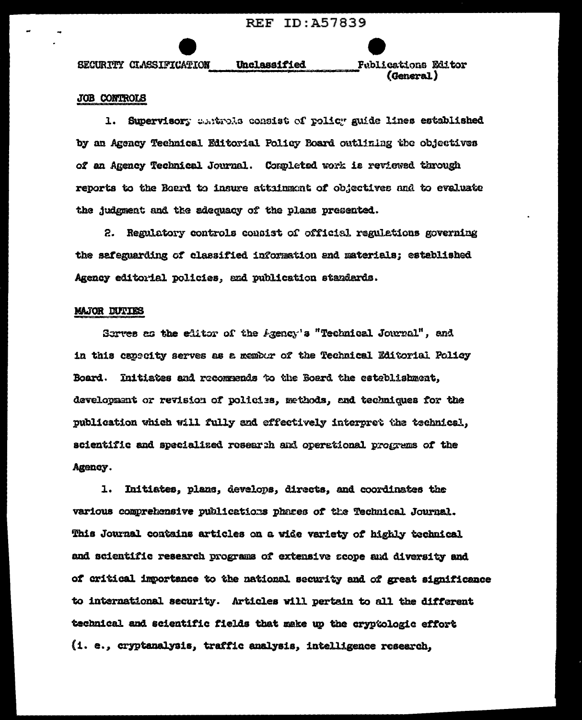**REF ID: A57839** 

SECURITY CLASSIFICATION

**Fublications Editor** (General)

## JOB CONTROLS

1. Supervisory controls consist of rolicy guide lines established by an Agency Technical Editorial Policy Board outlining the objectives of an Agency Technical Journal. Completed work is reviewed through reports to the Board to insure attainment of objectives and to evaluate the judgment and the adequacy of the plans presented.

Unclassified

2. Regulatory controls consist of official regulations governing the safeguarding of classified information and materials; established Agency editorial policies, and publication standards.

## **MAJOR DUTIES**

Serves as the editor of the Agency's "Technical Journal", and in this capecity serves as a member of the Technical Editorial Policy Board. Initiates and recommends to the Board the esteblishment, development or revision of policies, methods, and techniques for the publication which will fully and effectively interpret the technical, scientific and specialized research and operational programs of the Agency.

1. Initiates, plans, develops, directs, and coordinates the various comprehensive publications phares of the Technical Journal. This Journal contains articles on a wide variety of highly technical and scientific research programs of extensive acope and diversity and of critical importance to the national security and of great significance to international security. Articles will pertain to all the different technical and scientific fields that make up the cryptologic effort (1. e., cryptanalysis, traffic analysis, intelligence research,